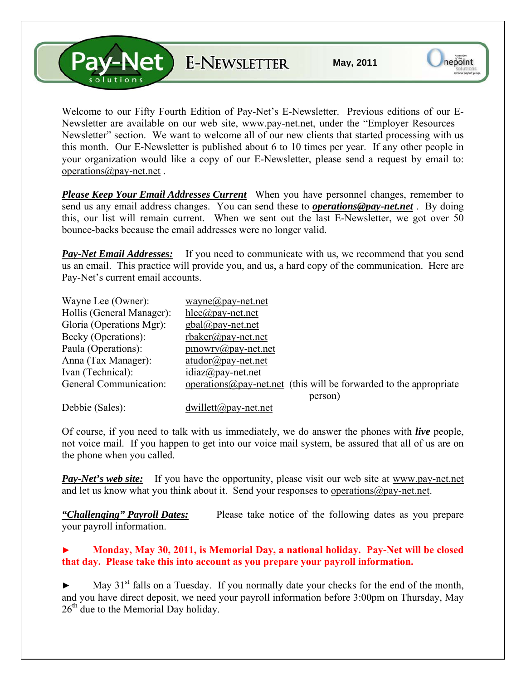**Pay-Net** E-NEWSLETTER

Welcome to our Fifty Fourth Edition of Pay-Net's E-Newsletter. Previous editions of our E-Newsletter are available on our web site, [www.pay-net.net](http://www.pay-net.net/), under the "Employer Resources – Newsletter" section. We want to welcome all of our new clients that started processing with us this month. Our E-Newsletter is published about 6 to 10 times per year. If any other people in your organization would like a copy of our E-Newsletter, please send a request by email to: [operations@pay-net.net](mailto:operations@pay-net.net) .

*Please Keep Your Email Addresses Current* When you have personnel changes, remember to send us any email address changes. You can send these to *[operations@pay-net.net](mailto:operations@pay-net.net)* . By doing this, our list will remain current. When we sent out the last E-Newsletter, we got over 50 bounce-backs because the email addresses were no longer valid.

**Pay-Net Email Addresses:** If you need to communicate with us, we recommend that you send us an email. This practice will provide you, and us, a hard copy of the communication. Here are Pay-Net's current email accounts.

| Wayne Lee (Owner):        | wayne@pay-net.net                                                    |
|---------------------------|----------------------------------------------------------------------|
| Hollis (General Manager): | $hlee(\partial p$ ay-net.net                                         |
| Gloria (Operations Mgr):  | $gbal(\omega)$ pay-net.net                                           |
| Becky (Operations):       | $r$ baker@pay-net.net                                                |
| Paula (Operations):       | $\text{pmowry}(a)$ pay-net.net                                       |
| Anna (Tax Manager):       | $atudor@pay-net.net$                                                 |
| Ivan (Technical):         | $idiaz(\partial p$ ay-net.net                                        |
| General Communication:    | operations $@pay-net.net$ (this will be forwarded to the appropriate |
|                           | person)                                                              |
| Debbie (Sales):           | $dwillet((a))$ ay-net.net                                            |

Of course, if you need to talk with us immediately, we do answer the phones with *live* people, not voice mail. If you happen to get into our voice mail system, be assured that all of us are on the phone when you called.

*Pay-Net's web site:* If you have the opportunity, please visit our web site at [www.pay-net.net](http://www.pay-net.net/)  and let us know what you think about it. Send your responses to [operations@pay-net.net](mailto:website@pay-net.net).

*"Challenging" Payroll Dates:* Please take notice of the following dates as you prepare your payroll information.

## **► Monday, May 30, 2011, is Memorial Day, a national holiday. Pay-Net will be closed that day. Please take this into account as you prepare your payroll information.**

 $\blacktriangleright$  May 31<sup>st</sup> falls on a Tuesday. If you normally date your checks for the end of the month, and you have direct deposit, we need your payroll information before 3:00pm on Thursday, May  $26<sup>th</sup>$  due to the Memorial Day holiday.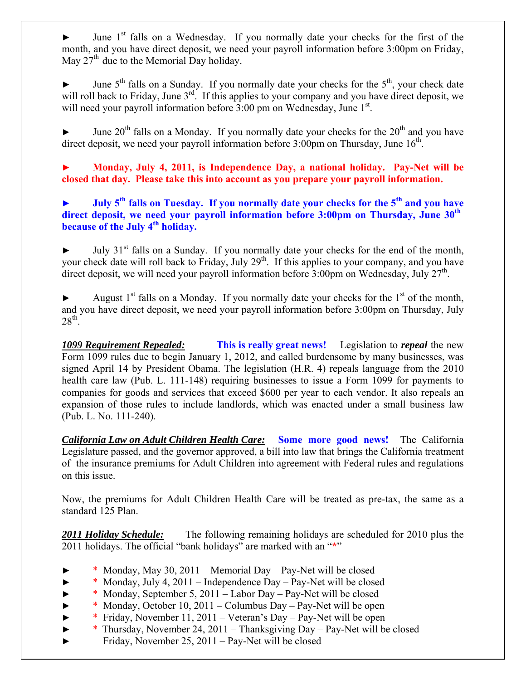June 1<sup>st</sup> falls on a Wednesday. If you normally date your checks for the first of the month, and you have direct deposit, we need your payroll information before 3:00pm on Friday, May  $27<sup>th</sup>$  due to the Memorial Day holiday.

June  $5<sup>th</sup>$  falls on a Sunday. If you normally date your checks for the  $5<sup>th</sup>$ , your check date will roll back to Friday, June 3<sup>rd</sup>. If this applies to your company and you have direct deposit, we will need your payroll information before 3:00 pm on Wednesday, June 1<sup>st</sup>.

June  $20<sup>th</sup>$  falls on a Monday. If you normally date your checks for the  $20<sup>th</sup>$  and you have direct deposit, we need your payroll information before  $3:00 \text{pm}$  on Thursday, June  $16^{\text{th}}$ .

**► Monday, July 4, 2011, is Independence Day, a national holiday. Pay-Net will be closed that day. Please take this into account as you prepare your payroll information.** 

► July 5<sup>th</sup> falls on Tuesday. If you normally date your checks for the 5<sup>th</sup> and you have **direct deposit, we need your payroll information before 3:00pm on Thursday, June 30th because of the July 4<sup>th</sup> holiday.** 

July 31<sup>st</sup> falls on a Sunday. If you normally date your checks for the end of the month, your check date will roll back to Friday, July 29<sup>th</sup>. If this applies to your company, and you have direct deposit, we will need your payroll information before  $3:00 \text{pm}$  on Wednesday, July  $27^{\text{th}}$ .

August  $1<sup>st</sup>$  falls on a Monday. If you normally date your checks for the  $1<sup>st</sup>$  of the month, and you have direct deposit, we need your payroll information before 3:00pm on Thursday, July  $28<sup>th</sup>$ .

*1099 Requirement Repealed:* **This is really great news!** Legislation to *repeal* the new Form 1099 rules due to begin January 1, 2012, and called burdensome by many businesses, was signed April 14 by President Obama. The legislation (H.R. 4) repeals language from the 2010 health care law (Pub. L. 111-148) requiring businesses to issue a Form 1099 for payments to companies for goods and services that exceed \$600 per year to each vendor. It also repeals an expansion of those rules to include landlords, which was enacted under a small business law (Pub. L. No. 111-240).

*California Law on Adult Children Health Care:* **Some more good news!** The California Legislature passed, and the governor approved, a bill into law that brings the California treatment of the insurance premiums for Adult Children into agreement with Federal rules and regulations on this issue.

Now, the premiums for Adult Children Health Care will be treated as pre-tax, the same as a standard 125 Plan.

*2011 Holiday Schedule:* The following remaining holidays are scheduled for 2010 plus the 2011 holidays. The official "bank holidays" are marked with an "**\***"

- \* Monday, May 30, 2011 Memorial Day Pay-Net will be closed
- $*$  Monday, July 4, 2011 Independence Day Pay-Net will be closed
- ► \* Monday, September 5, 2011 Labor Day Pay-Net will be closed
- ► \* Monday, October 10, 2011 Columbus Day Pay-Net will be open
- \* Friday, November 11, 2011 Veteran's Day Pay-Net will be open
- ► \* Thursday, November 24, 2011 Thanksgiving Day Pay-Net will be closed
- ► Friday, November 25, 2011 Pay-Net will be closed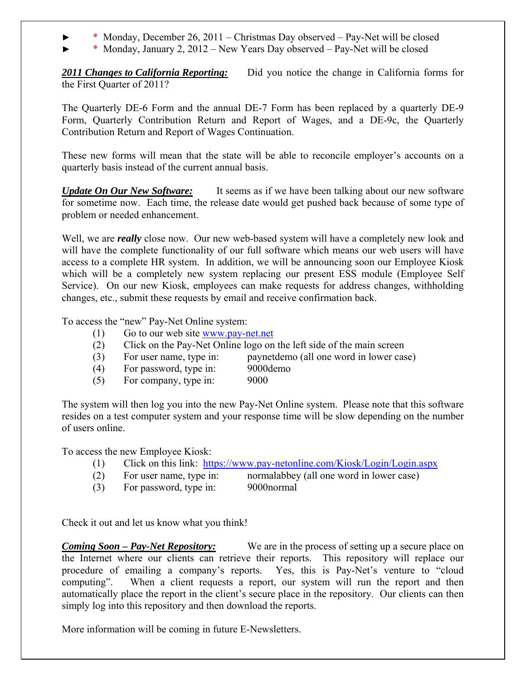- $*$  Monday, December 26, 2011 Christmas Day observed Pay-Net will be closed
- ► \* Monday, January 2, 2012 New Years Day observed Pay-Net will be closed

*2011 Changes to California Reporting:* Did you notice the change in California forms for the First Quarter of 2011?

The Quarterly DE-6 Form and the annual DE-7 Form has been replaced by a quarterly DE-9 Form, Quarterly Contribution Return and Report of Wages, and a DE-9c, the Quarterly Contribution Return and Report of Wages Continuation.

These new forms will mean that the state will be able to reconcile employer's accounts on a quarterly basis instead of the current annual basis.

*Update On Our New Software:* It seems as if we have been talking about our new software for sometime now. Each time, the release date would get pushed back because of some type of problem or needed enhancement.

Well, we are *really* close now. Our new web-based system will have a completely new look and will have the complete functionality of our full software which means our web users will have access to a complete HR system. In addition, we will be announcing soon our Employee Kiosk which will be a completely new system replacing our present ESS module (Employee Self Service). On our new Kiosk, employees can make requests for address changes, withholding changes, etc., submit these requests by email and receive confirmation back.

To access the "new" Pay-Net Online system:

- (1) Go to our web site [www.pay-net.net](http://www.pay-net.net/)
- (2) Click on the Pay-Net Online logo on the left side of the main screen
- (3) For user name, type in: paynetdemo (all one word in lower case)
- (4) For password, type in: 9000demo
	-
- (5) For company, type in: 9000

The system will then log you into the new Pay-Net Online system. Please note that this software resides on a test computer system and your response time will be slow depending on the number of users online.

To access the new Employee Kiosk:

- (1) Click on this link: <https://www.pay-netonline.com/Kiosk/Login/Login.aspx>
- (2) For user name, type in: normalabbey (all one word in lower case)
- (3) For password, type in: 9000normal

Check it out and let us know what you think!

*Coming Soon – Pay-Net Repository:* We are in the process of setting up a secure place on the Internet where our clients can retrieve their reports. This repository will replace our procedure of emailing a company's reports. Yes, this is Pay-Net's venture to "cloud computing". When a client requests a report, our system will run the report and then automatically place the report in the client's secure place in the repository. Our clients can then simply log into this repository and then download the reports.

More information will be coming in future E-Newsletters.